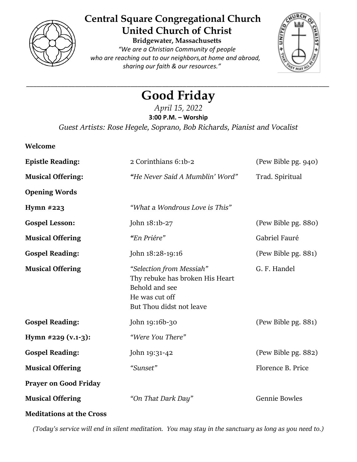

# **Central Square Congregational Church United Church of Christ**

**Bridgewater, Massachusetts** *"We are a Christian Community of people who are reaching out to our neighbors,at home and abroad, sharing our faith & our resources."*



## *\_\_\_\_\_\_\_\_\_\_\_\_\_\_\_\_\_\_\_\_\_\_\_\_\_\_\_\_\_\_\_\_\_\_\_\_\_\_\_\_\_\_\_\_\_\_\_\_\_\_\_\_\_\_\_\_\_\_\_\_\_\_\_\_\_\_\_\_\_\_\_\_\_\_\_\_\_\_\_\_\_\_\_\_\_\_\_* **Good Friday**

*April 15, 2022* **3:00 P.M. – Worship** *Guest Artists: Rose Hegele, Soprano, Bob Richards, Pianist and Vocalist*

| Welcome                         |                                                                                                                             |                      |
|---------------------------------|-----------------------------------------------------------------------------------------------------------------------------|----------------------|
| <b>Epistle Reading:</b>         | 2 Corinthians 6:1b-2                                                                                                        | (Pew Bible pg. 940)  |
| <b>Musical Offering:</b>        | "He Never Said A Mumblin' Word"                                                                                             | Trad. Spiritual      |
| <b>Opening Words</b>            |                                                                                                                             |                      |
| Hymn $#223$                     | "What a Wondrous Love is This"                                                                                              |                      |
| <b>Gospel Lesson:</b>           | John 18:1b-27                                                                                                               | (Pew Bible pg. 880)  |
| <b>Musical Offering</b>         | "En Priére"                                                                                                                 | Gabriel Fauré        |
| <b>Gospel Reading:</b>          | John 18:28-19:16                                                                                                            | (Pew Bible pg. 881)  |
| <b>Musical Offering</b>         | "Selection from Messiah"<br>Thy rebuke has broken His Heart<br>Behold and see<br>He was cut off<br>But Thou didst not leave | G. F. Handel         |
| <b>Gospel Reading:</b>          | John 19:16b-30                                                                                                              | (Pew Bible pg. 881)  |
| Hymn #229 (v.1-3):              | "Were You There"                                                                                                            |                      |
| <b>Gospel Reading:</b>          | John 19:31-42                                                                                                               | (Pew Bible pg. 882)  |
| <b>Musical Offering</b>         | "Sunset"                                                                                                                    | Florence B. Price    |
| <b>Prayer on Good Friday</b>    |                                                                                                                             |                      |
| <b>Musical Offering</b>         | "On That Dark Day"                                                                                                          | <b>Gennie Bowles</b> |
| <b>Meditations at the Cross</b> |                                                                                                                             |                      |

*(Today's service will end in silent meditation. You may stay in the sanctuary as long as you need to.)*